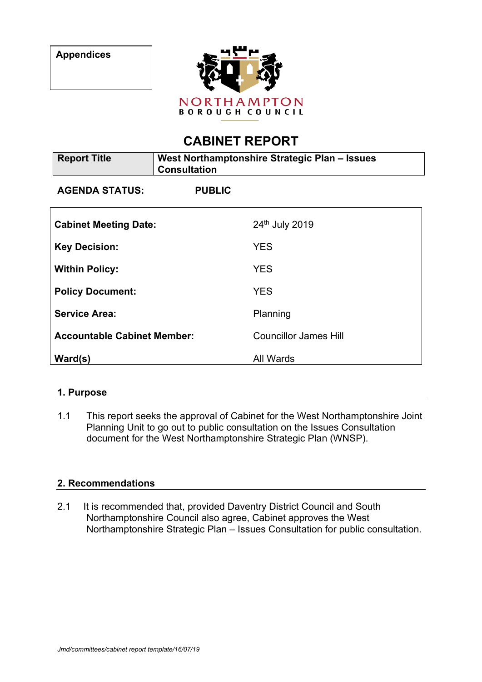

# **CABINET REPORT**

| <b>Report Title</b>                | West Northamptonshire Strategic Plan - Issues<br><b>Consultation</b> |                              |
|------------------------------------|----------------------------------------------------------------------|------------------------------|
| <b>AGENDA STATUS:</b>              | <b>PUBLIC</b>                                                        |                              |
| <b>Cabinet Meeting Date:</b>       |                                                                      | 24th July 2019               |
| <b>Key Decision:</b>               |                                                                      | <b>YES</b>                   |
| <b>Within Policy:</b>              |                                                                      | <b>YES</b>                   |
| <b>Policy Document:</b>            |                                                                      | <b>YES</b>                   |
| <b>Service Area:</b>               |                                                                      | Planning                     |
| <b>Accountable Cabinet Member:</b> |                                                                      | <b>Councillor James Hill</b> |
| Ward(s)                            |                                                                      | All Wards                    |

## **1. Purpose**

1.1 This report seeks the approval of Cabinet for the West Northamptonshire Joint Planning Unit to go out to public consultation on the Issues Consultation document for the West Northamptonshire Strategic Plan (WNSP).

## **2. Recommendations**

2.1 It is recommended that, provided Daventry District Council and South Northamptonshire Council also agree, Cabinet approves the West Northamptonshire Strategic Plan – Issues Consultation for public consultation.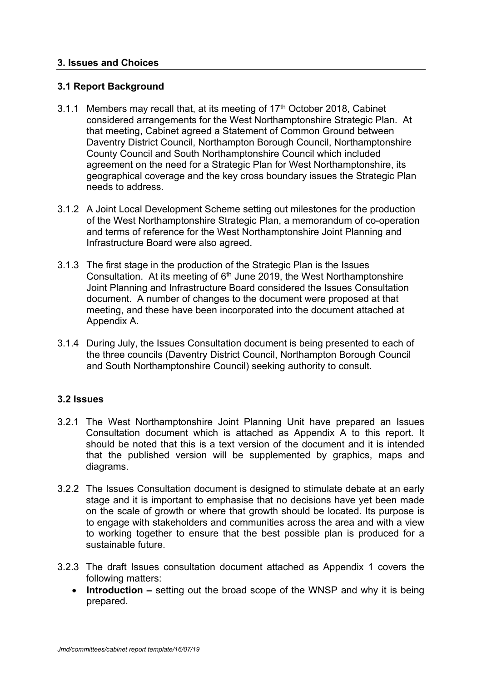#### **3. Issues and Choices**

#### **3.1 Report Background**

- 3.1.1 Members may recall that, at its meeting of 17<sup>th</sup> October 2018, Cabinet considered arrangements for the West Northamptonshire Strategic Plan. At that meeting, Cabinet agreed a Statement of Common Ground between Daventry District Council, Northampton Borough Council, Northamptonshire County Council and South Northamptonshire Council which included agreement on the need for a Strategic Plan for West Northamptonshire, its geographical coverage and the key cross boundary issues the Strategic Plan needs to address.
- 3.1.2 A Joint Local Development Scheme setting out milestones for the production of the West Northamptonshire Strategic Plan, a memorandum of co-operation and terms of reference for the West Northamptonshire Joint Planning and Infrastructure Board were also agreed.
- 3.1.3 The first stage in the production of the Strategic Plan is the Issues Consultation. At its meeting of 6<sup>th</sup> June 2019, the West Northamptonshire Joint Planning and Infrastructure Board considered the Issues Consultation document. A number of changes to the document were proposed at that meeting, and these have been incorporated into the document attached at Appendix A.
- 3.1.4 During July, the Issues Consultation document is being presented to each of the three councils (Daventry District Council, Northampton Borough Council and South Northamptonshire Council) seeking authority to consult.

#### **3.2 Issues**

- 3.2.1 The West Northamptonshire Joint Planning Unit have prepared an Issues Consultation document which is attached as Appendix A to this report. It should be noted that this is a text version of the document and it is intended that the published version will be supplemented by graphics, maps and diagrams.
- 3.2.2 The Issues Consultation document is designed to stimulate debate at an early stage and it is important to emphasise that no decisions have yet been made on the scale of growth or where that growth should be located. Its purpose is to engage with stakeholders and communities across the area and with a view to working together to ensure that the best possible plan is produced for a sustainable future.
- 3.2.3 The draft Issues consultation document attached as Appendix 1 covers the following matters:
	- **Introduction –** setting out the broad scope of the WNSP and why it is being prepared.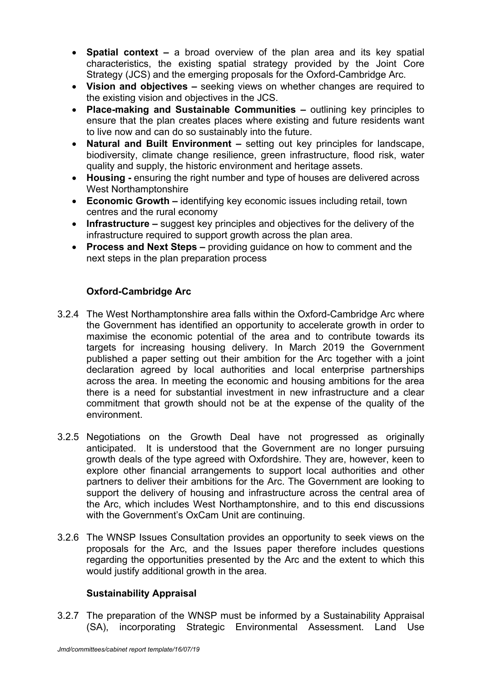- **Spatial context –** a broad overview of the plan area and its key spatial characteristics, the existing spatial strategy provided by the Joint Core Strategy (JCS) and the emerging proposals for the Oxford-Cambridge Arc.
- **Vision and objectives –** seeking views on whether changes are required to the existing vision and objectives in the JCS.
- **Place-making and Sustainable Communities –** outlining key principles to ensure that the plan creates places where existing and future residents want to live now and can do so sustainably into the future.
- **Natural and Built Environment –** setting out key principles for landscape, biodiversity, climate change resilience, green infrastructure, flood risk, water quality and supply, the historic environment and heritage assets.
- **Housing -** ensuring the right number and type of houses are delivered across West Northamptonshire
- **Economic Growth –** identifying key economic issues including retail, town centres and the rural economy
- **Infrastructure –** suggest key principles and objectives for the delivery of the infrastructure required to support growth across the plan area.
- **Process and Next Steps –** providing guidance on how to comment and the next steps in the plan preparation process

# **Oxford-Cambridge Arc**

- 3.2.4 The West Northamptonshire area falls within the Oxford-Cambridge Arc where the Government has identified an opportunity to accelerate growth in order to maximise the economic potential of the area and to contribute towards its targets for increasing housing delivery. In March 2019 the Government published a paper setting out their ambition for the Arc together with a joint declaration agreed by local authorities and local enterprise partnerships across the area. In meeting the economic and housing ambitions for the area there is a need for substantial investment in new infrastructure and a clear commitment that growth should not be at the expense of the quality of the environment.
- 3.2.5 Negotiations on the Growth Deal have not progressed as originally anticipated. It is understood that the Government are no longer pursuing growth deals of the type agreed with Oxfordshire. They are, however, keen to explore other financial arrangements to support local authorities and other partners to deliver their ambitions for the Arc. The Government are looking to support the delivery of housing and infrastructure across the central area of the Arc, which includes West Northamptonshire, and to this end discussions with the Government's OxCam Unit are continuing.
- 3.2.6 The WNSP Issues Consultation provides an opportunity to seek views on the proposals for the Arc, and the Issues paper therefore includes questions regarding the opportunities presented by the Arc and the extent to which this would justify additional growth in the area.

## **Sustainability Appraisal**

3.2.7 The preparation of the WNSP must be informed by a Sustainability Appraisal (SA), incorporating Strategic Environmental Assessment. Land Use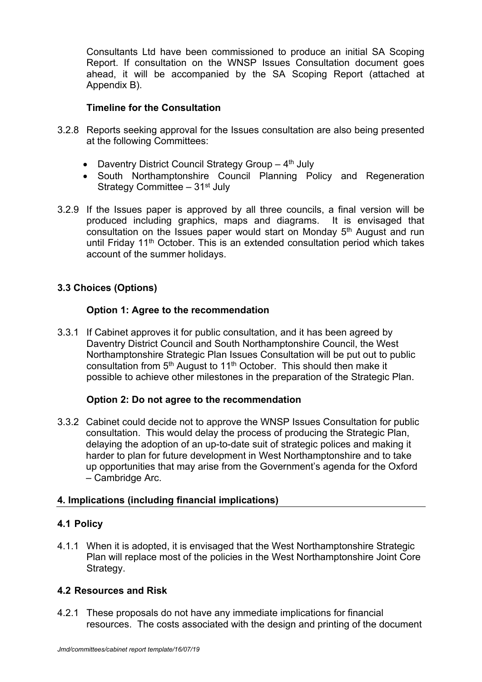Consultants Ltd have been commissioned to produce an initial SA Scoping Report. If consultation on the WNSP Issues Consultation document goes ahead, it will be accompanied by the SA Scoping Report (attached at Appendix B).

#### **Timeline for the Consultation**

- 3.2.8 Reports seeking approval for the Issues consultation are also being presented at the following Committees:
	- Daventry District Council Strategy Group 4<sup>th</sup> July
	- South Northamptonshire Council Planning Policy and Regeneration Strategy Committee – 31st July
- 3.2.9 If the Issues paper is approved by all three councils, a final version will be produced including graphics, maps and diagrams. It is envisaged that consultation on the Issues paper would start on Monday 5<sup>th</sup> August and run until Friday 11<sup>th</sup> October. This is an extended consultation period which takes account of the summer holidays.

# **3.3 Choices (Options)**

## **Option 1: Agree to the recommendation**

3.3.1 If Cabinet approves it for public consultation, and it has been agreed by Daventry District Council and South Northamptonshire Council, the West Northamptonshire Strategic Plan Issues Consultation will be put out to public consultation from 5<sup>th</sup> August to 11<sup>th</sup> October. This should then make it possible to achieve other milestones in the preparation of the Strategic Plan.

#### **Option 2: Do not agree to the recommendation**

3.3.2 Cabinet could decide not to approve the WNSP Issues Consultation for public consultation. This would delay the process of producing the Strategic Plan, delaying the adoption of an up-to-date suit of strategic polices and making it harder to plan for future development in West Northamptonshire and to take up opportunities that may arise from the Government's agenda for the Oxford – Cambridge Arc.

## **4. Implications (including financial implications)**

#### **4.1 Policy**

4.1.1 When it is adopted, it is envisaged that the West Northamptonshire Strategic Plan will replace most of the policies in the West Northamptonshire Joint Core Strategy.

## **4.2 Resources and Risk**

4.2.1 These proposals do not have any immediate implications for financial resources. The costs associated with the design and printing of the document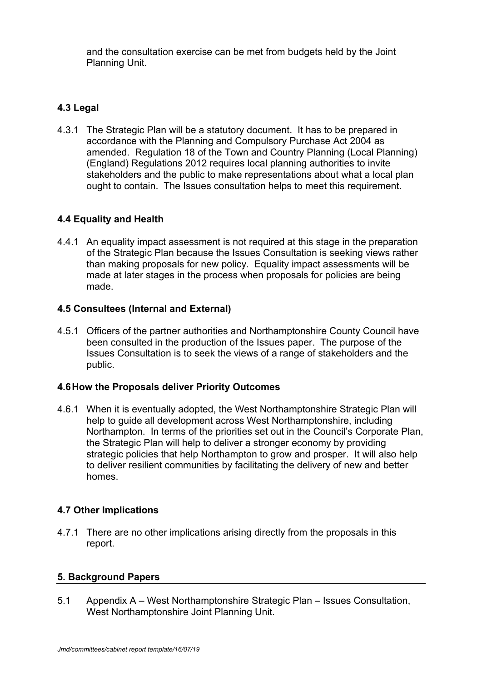and the consultation exercise can be met from budgets held by the Joint Planning Unit.

# **4.3 Legal**

4.3.1 The Strategic Plan will be a statutory document. It has to be prepared in accordance with the Planning and Compulsory Purchase Act 2004 as amended. Regulation 18 of the Town and Country Planning (Local Planning) (England) Regulations 2012 requires local planning authorities to invite stakeholders and the public to make representations about what a local plan ought to contain. The Issues consultation helps to meet this requirement.

## **4.4 Equality and Health**

4.4.1 An equality impact assessment is not required at this stage in the preparation of the Strategic Plan because the Issues Consultation is seeking views rather than making proposals for new policy. Equality impact assessments will be made at later stages in the process when proposals for policies are being made.

## **4.5 Consultees (Internal and External)**

4.5.1 Officers of the partner authorities and Northamptonshire County Council have been consulted in the production of the Issues paper. The purpose of the Issues Consultation is to seek the views of a range of stakeholders and the public.

#### **4.6How the Proposals deliver Priority Outcomes**

4.6.1 When it is eventually adopted, the West Northamptonshire Strategic Plan will help to guide all development across West Northamptonshire, including Northampton. In terms of the priorities set out in the Council's Corporate Plan, the Strategic Plan will help to deliver a stronger economy by providing strategic policies that help Northampton to grow and prosper. It will also help to deliver resilient communities by facilitating the delivery of new and better homes.

## **4.7 Other Implications**

4.7.1 There are no other implications arising directly from the proposals in this report.

#### **5. Background Papers**

5.1 Appendix A – West Northamptonshire Strategic Plan – Issues Consultation, West Northamptonshire Joint Planning Unit.